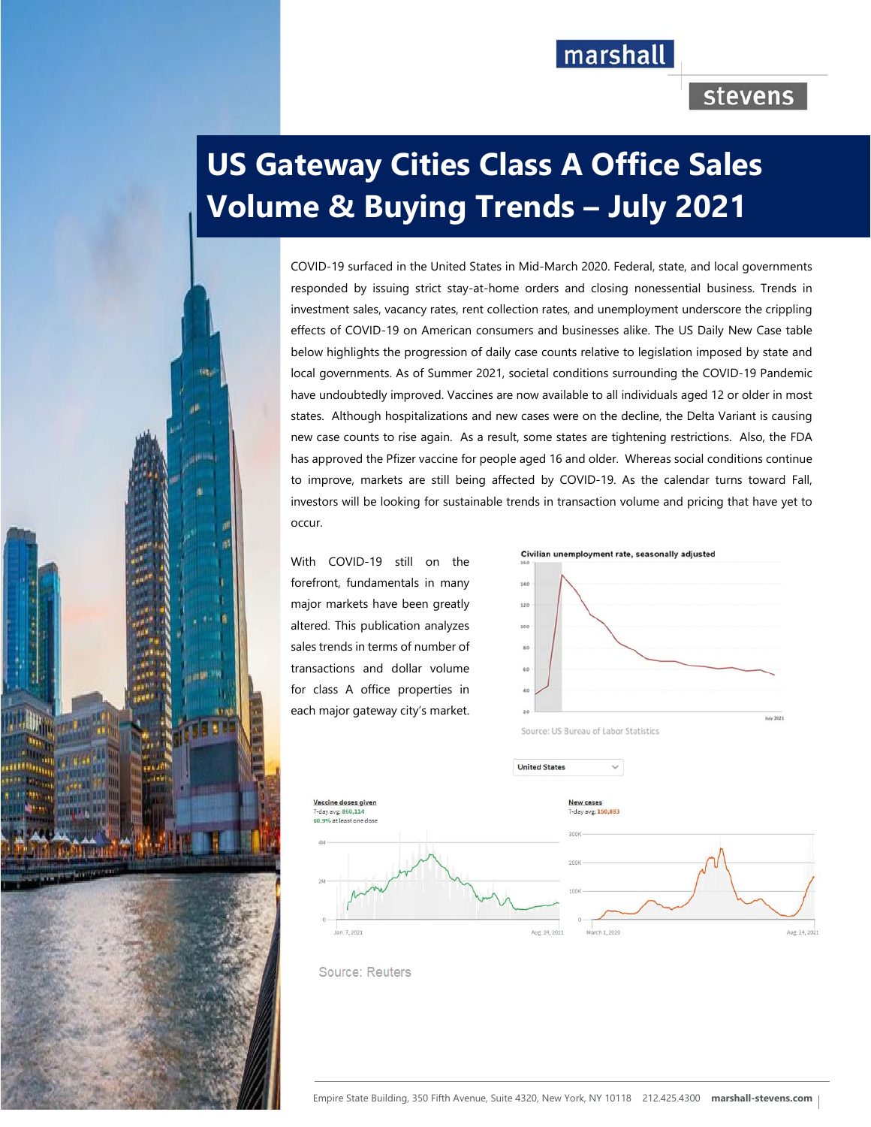# marshall

# stevens

# **US Gateway Cities Class A Office Sales Volume & Buying Trends – July 2021**

COVID-19 surfaced in the United States in Mid-March 2020. Federal, state, and local governments responded by issuing strict stay-at-home orders and closing nonessential business. Trends in investment sales, vacancy rates, rent collection rates, and unemployment underscore the crippling effects of COVID-19 on American consumers and businesses alike. The US Daily New Case table below highlights the progression of daily case counts relative to legislation imposed by state and local governments. As of Summer 2021, societal conditions surrounding the COVID-19 Pandemic have undoubtedly improved. Vaccines are now available to all individuals aged 12 or older in most states. Although hospitalizations and new cases were on the decline, the Delta Variant is causing new case counts to rise again. As a result, some states are tightening restrictions. Also, the FDA has approved the Pfizer vaccine for people aged 16 and older. Whereas social conditions continue to improve, markets are still being affected by COVID-19. As the calendar turns toward Fall, investors will be looking for sustainable trends in transaction volume and pricing that have yet to occur.

With COVID-19 still on the forefront, fundamentals in many major markets have been greatly altered. This publication analyzes sales trends in terms of number of transactions and dollar volume for class A office properties in each major gateway city's market.

a shekara ta 1972









**Source: Reuters**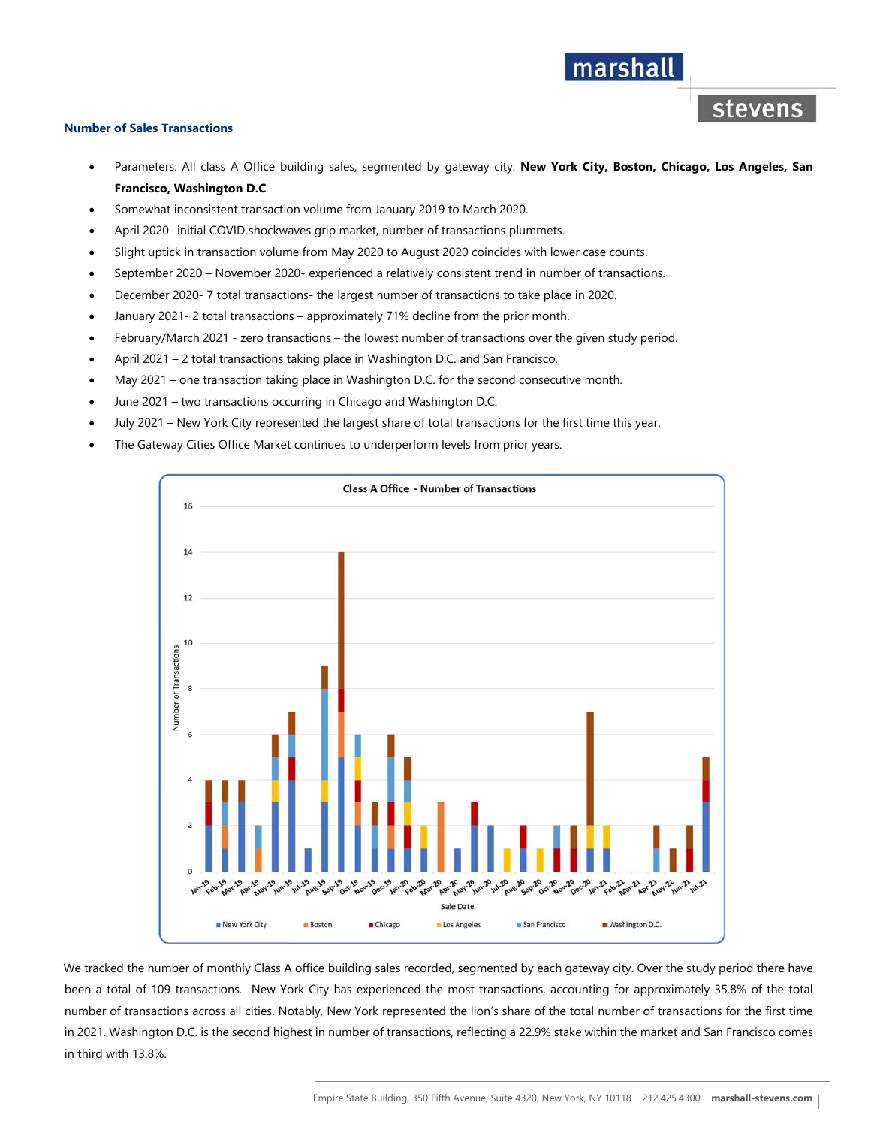#### **Number of Sales Transactions**

 Parameters: All class A Office building sales, segmented by gateway city: **New York City, Boston, Chicago, Los Angeles, San Francisco, Washington D.C**.

marshall

stevens

- Somewhat inconsistent transaction volume from January 2019 to March 2020.
- April 2020- initial COVID shockwaves grip market, number of transactions plummets.
- Slight uptick in transaction volume from May 2020 to August 2020 coincides with lower case counts.
- September 2020 November 2020- experienced a relatively consistent trend in number of transactions.
- December 2020- 7 total transactions- the largest number of transactions to take place in 2020.
- January 2021- 2 total transactions approximately 71% decline from the prior month.
- February/March 2021 zero transactions the lowest number of transactions over the given study period.
- April 2021 2 total transactions taking place in Washington D.C. and San Francisco.
- May 2021 one transaction taking place in Washington D.C. for the second consecutive month.
- June 2021 two transactions occurring in Chicago and Washington D.C.
- July 2021 New York City represented the largest share of total transactions for the first time this year.
- The Gateway Cities Office Market continues to underperform levels from prior years.



We tracked the number of monthly Class A office building sales recorded, segmented by each gateway city. Over the study period there have been a total of 109 transactions. New York City has experienced the most transactions, accounting for approximately 35.8% of the total number of transactions across all cities. Notably, New York represented the lion's share of the total number of transactions for the first time in 2021. Washington D.C. is the second highest in number of transactions, reflecting a 22.9% stake within the market and San Francisco comes in third with 13.8%.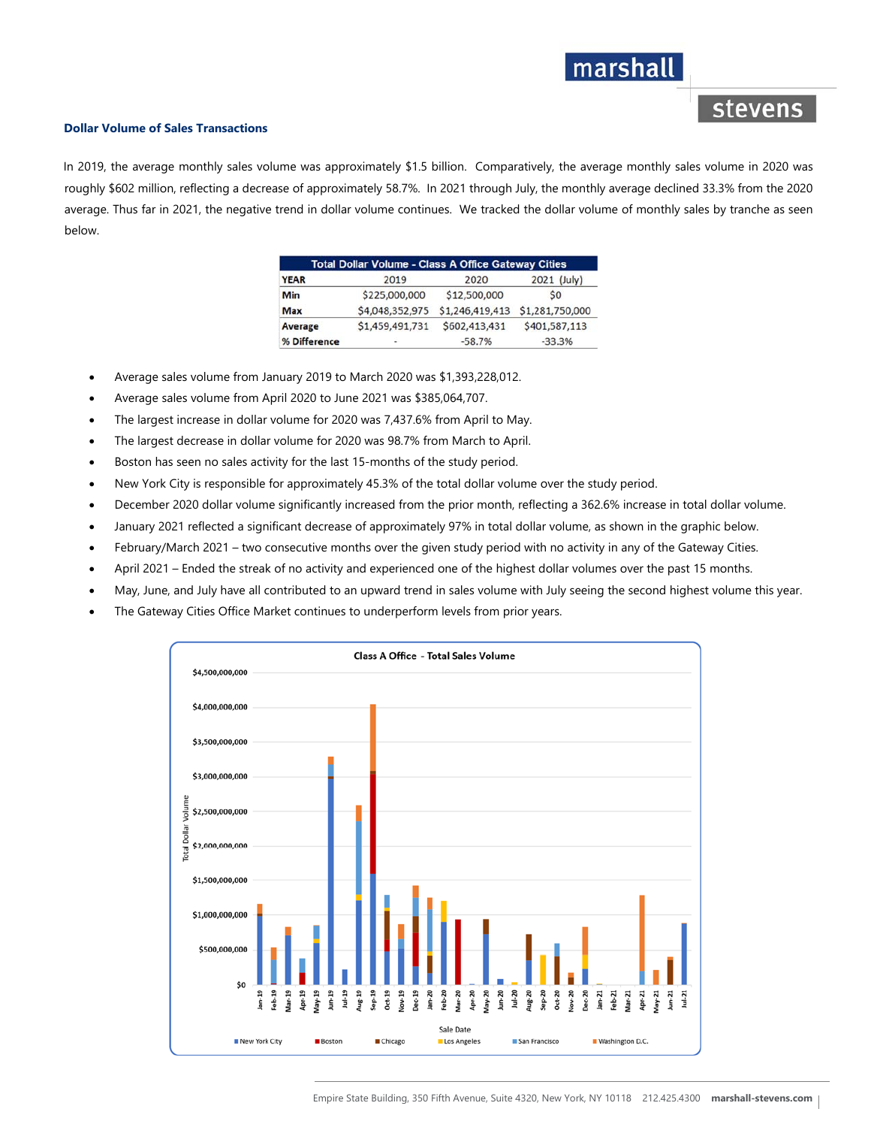# marshall

# stevens

#### **Dollar Volume of Sales Transactions**

In 2019, the average monthly sales volume was approximately \$1.5 billion. Comparatively, the average monthly sales volume in 2020 was roughly \$602 million, reflecting a decrease of approximately 58.7%. In 2021 through July, the monthly average declined 33.3% from the 2020 average. Thus far in 2021, the negative trend in dollar volume continues. We tracked the dollar volume of monthly sales by tranche as seen below.

| <b>Total Dollar Volume - Class A Office Gateway Cities</b> |                 |                 |                 |
|------------------------------------------------------------|-----------------|-----------------|-----------------|
| <b>YEAR</b>                                                | 2019            | 2020            | 2021 (July)     |
| Min                                                        | \$225,000,000   | \$12,500,000    | S <sub>0</sub>  |
| <b>Max</b>                                                 | \$4,048,352,975 | \$1,246,419,413 | \$1,281,750,000 |
| Average                                                    | \$1,459,491,731 | \$602,413,431   | \$401,587,113   |
| % Difference                                               |                 | $-58.7%$        | $-33.3%$        |

- Average sales volume from January 2019 to March 2020 was \$1,393,228,012.
- Average sales volume from April 2020 to June 2021 was \$385,064,707.
- The largest increase in dollar volume for 2020 was 7,437.6% from April to May.
- The largest decrease in dollar volume for 2020 was 98.7% from March to April.
- Boston has seen no sales activity for the last 15-months of the study period.
- New York City is responsible for approximately 45.3% of the total dollar volume over the study period.
- December 2020 dollar volume significantly increased from the prior month, reflecting a 362.6% increase in total dollar volume.
- January 2021 reflected a significant decrease of approximately 97% in total dollar volume, as shown in the graphic below.
- February/March 2021 two consecutive months over the given study period with no activity in any of the Gateway Cities.
- April 2021 Ended the streak of no activity and experienced one of the highest dollar volumes over the past 15 months.
- May, June, and July have all contributed to an upward trend in sales volume with July seeing the second highest volume this year.
- The Gateway Cities Office Market continues to underperform levels from prior years.